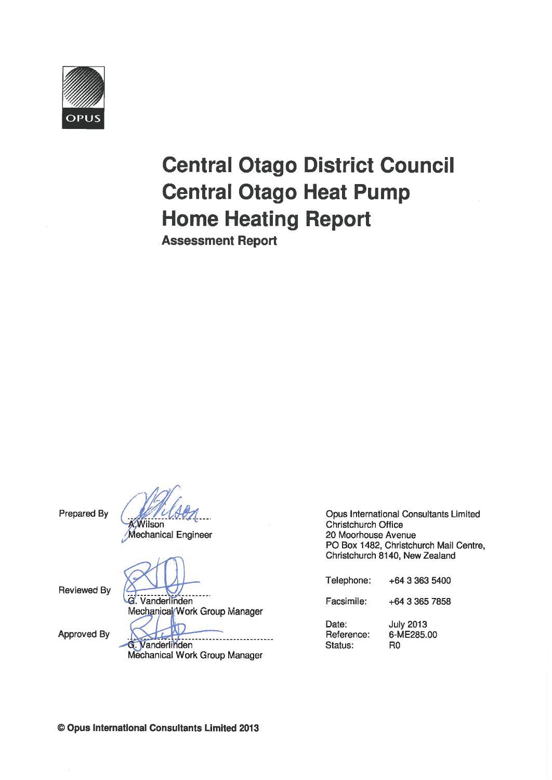

# **Central Otago District Council Central Otago Heat Pump Home Heating Report Assessment Report**

Prepared By

**KWilson** 

**Mechanical Engineer** 

**Reviewed By** 

**G.** Vanderlinden Mechanical/Work Group Manager

Approved By

------------G. Vanderlinden Mechanical Work Group Manager

Opus International Consultants Limited Christchurch Office 20 Moorhouse Avenue PO Box 1482, Christchurch Mail Centre, Christchurch 8140, New Zealand

| Telephone:                     | +64 3 363 5400                       |
|--------------------------------|--------------------------------------|
| Facsimile:                     | $+64$ 3 365 7858                     |
| Date:<br>Reference:<br>Status: | <b>July 2013</b><br>6-ME285.00<br>R0 |

© Opus International Consultants Limited 2013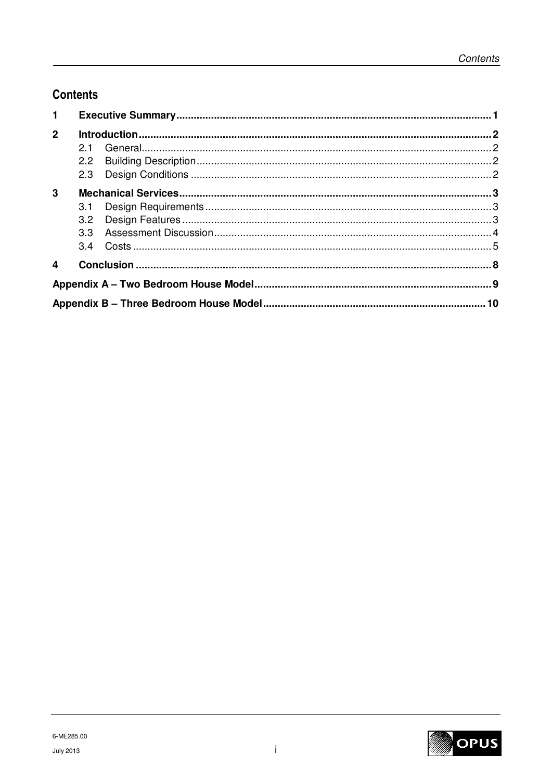# **Contents**

| $\mathbf{1}$   |     |  |  |  |
|----------------|-----|--|--|--|
| $\overline{2}$ |     |  |  |  |
|                | 2.1 |  |  |  |
|                |     |  |  |  |
|                |     |  |  |  |
| $\mathbf{3}$   |     |  |  |  |
|                | 3.1 |  |  |  |
|                |     |  |  |  |
|                |     |  |  |  |
|                |     |  |  |  |
| 4              |     |  |  |  |
|                |     |  |  |  |
|                |     |  |  |  |

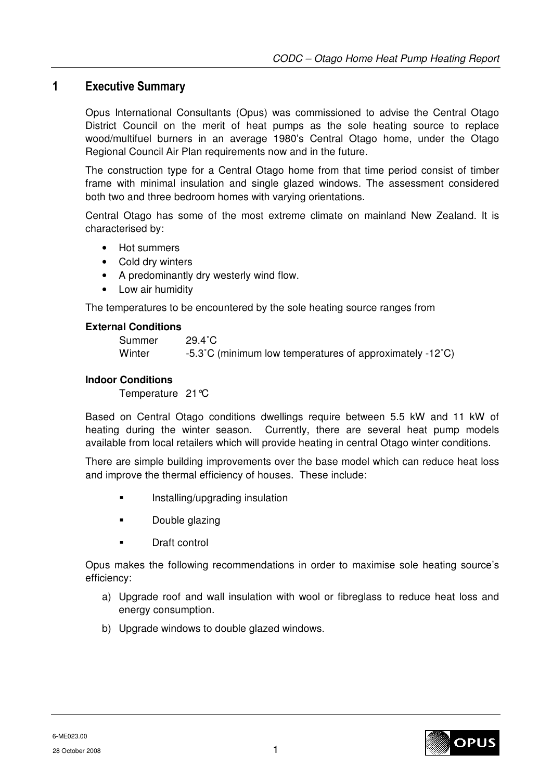## **1 Executive Summary**

Opus International Consultants (Opus) was commissioned to advise the Central Otago District Council on the merit of heat pumps as the sole heating source to replace wood/multifuel burners in an average 1980's Central Otago home, under the Otago Regional Council Air Plan requirements now and in the future.

The construction type for a Central Otago home from that time period consist of timber frame with minimal insulation and single glazed windows. The assessment considered both two and three bedroom homes with varying orientations.

Central Otago has some of the most extreme climate on mainland New Zealand. It is characterised by:

- Hot summers
- Cold dry winters
- A predominantly dry westerly wind flow.
- Low air humidity

The temperatures to be encountered by the sole heating source ranges from

#### **External Conditions**

| Summer | $29.4^{\circ}$ C                                         |
|--------|----------------------------------------------------------|
| Winter | -5.3°C (minimum low temperatures of approximately -12°C) |

#### **Indoor Conditions**

Temperature 21°C

Based on Central Otago conditions dwellings require between 5.5 kW and 11 kW of heating during the winter season. Currently, there are several heat pump models available from local retailers which will provide heating in central Otago winter conditions.

There are simple building improvements over the base model which can reduce heat loss and improve the thermal efficiency of houses. These include:

- **Installing/upgrading insulation**
- Double glazing
- Draft control

Opus makes the following recommendations in order to maximise sole heating source's efficiency:

- a) Upgrade roof and wall insulation with wool or fibreglass to reduce heat loss and energy consumption.
- b) Upgrade windows to double glazed windows.

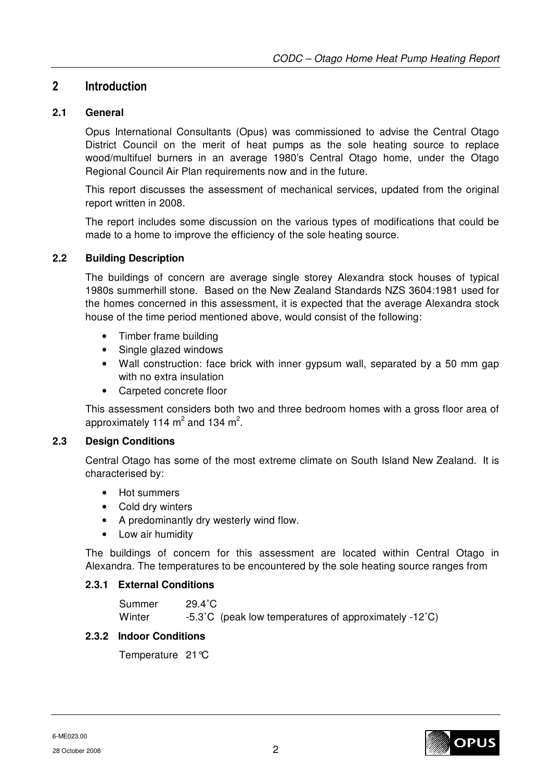# **2 Introduction**

#### **2.1 General**

Opus International Consultants (Opus) was commissioned to advise the Central Otago District Council on the merit of heat pumps as the sole heating source to replace wood/multifuel burners in an average 1980's Central Otago home, under the Otago Regional Council Air Plan requirements now and in the future.

This report discusses the assessment of mechanical services, updated from the original report written in 2008.

The report includes some discussion on the various types of modifications that could be made to a home to improve the efficiency of the sole heating source.

#### **2.2 Building Description**

The buildings of concern are average single storey Alexandra stock houses of typical 1980s summerhill stone. Based on the New Zealand Standards NZS 3604:1981 used for the homes concerned in this assessment, it is expected that the average Alexandra stock house of the time period mentioned above, would consist of the following:

- Timber frame building
- Single glazed windows
- Wall construction: face brick with inner gypsum wall, separated by a 50 mm gap with no extra insulation
- Carpeted concrete floor

This assessment considers both two and three bedroom homes with a gross floor area of approximately 114  $m^2$  and 134  $m^2$ .

#### **2.3 Design Conditions**

Central Otago has some of the most extreme climate on South Island New Zealand. It is characterised by:

- Hot summers
- Cold dry winters
- A predominantly dry westerly wind flow.
- Low air humidity

The buildings of concern for this assessment are located within Central Otago in Alexandra. The temperatures to be encountered by the sole heating source ranges from

#### **2.3.1 External Conditions**

| Summer | $29.4^{\circ}$ C                                      |
|--------|-------------------------------------------------------|
| Winter | -5.3°C (peak low temperatures of approximately -12°C) |

#### **2.3.2 Indoor Conditions**

Temperature 21°C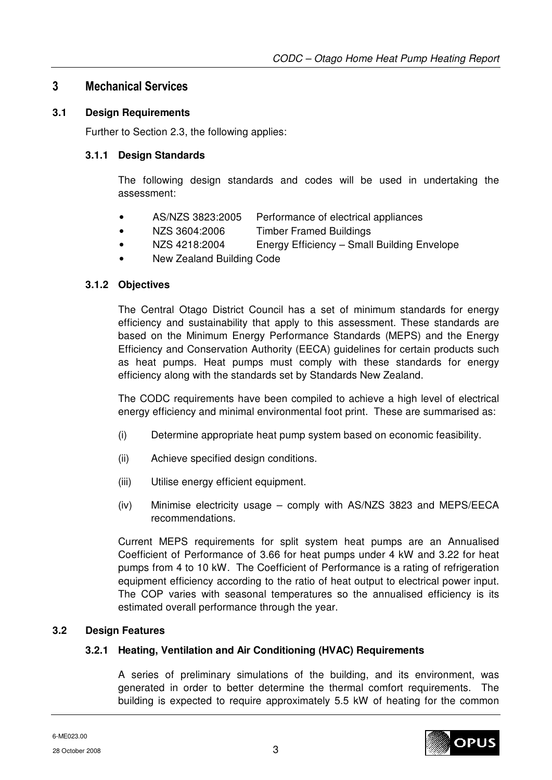## **3 Mechanical Services**

#### **3.1 Design Requirements**

Further to Section 2.3, the following applies:

#### **3.1.1 Design Standards**

The following design standards and codes will be used in undertaking the assessment:

- AS/NZS 3823:2005 Performance of electrical appliances
- NZS 3604:2006 Timber Framed Buildings
- NZS 4218:2004 Energy Efficiency Small Building Envelope
- New Zealand Building Code

#### **3.1.2 Objectives**

The Central Otago District Council has a set of minimum standards for energy efficiency and sustainability that apply to this assessment. These standards are based on the Minimum Energy Performance Standards (MEPS) and the Energy Efficiency and Conservation Authority (EECA) guidelines for certain products such as heat pumps. Heat pumps must comply with these standards for energy efficiency along with the standards set by Standards New Zealand.

The CODC requirements have been compiled to achieve a high level of electrical energy efficiency and minimal environmental foot print. These are summarised as:

- (i) Determine appropriate heat pump system based on economic feasibility.
- (ii) Achieve specified design conditions.
- (iii) Utilise energy efficient equipment.
- (iv) Minimise electricity usage comply with AS/NZS 3823 and MEPS/EECA recommendations.

Current MEPS requirements for split system heat pumps are an Annualised Coefficient of Performance of 3.66 for heat pumps under 4 kW and 3.22 for heat pumps from 4 to 10 kW. The Coefficient of Performance is a rating of refrigeration equipment efficiency according to the ratio of heat output to electrical power input. The COP varies with seasonal temperatures so the annualised efficiency is its estimated overall performance through the year.

#### **3.2 Design Features**

#### **3.2.1 Heating, Ventilation and Air Conditioning (HVAC) Requirements**

A series of preliminary simulations of the building, and its environment, was generated in order to better determine the thermal comfort requirements. The building is expected to require approximately 5.5 kW of heating for the common



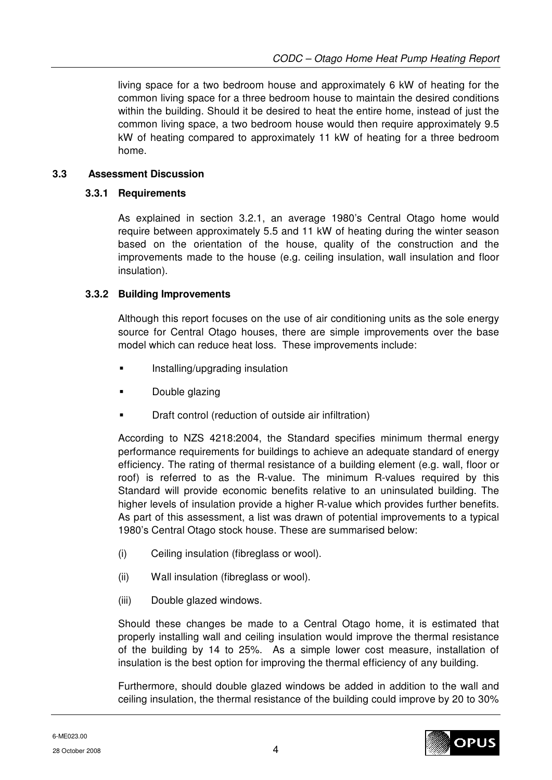living space for a two bedroom house and approximately 6 kW of heating for the common living space for a three bedroom house to maintain the desired conditions within the building. Should it be desired to heat the entire home, instead of just the common living space, a two bedroom house would then require approximately 9.5 kW of heating compared to approximately 11 kW of heating for a three bedroom home.

#### **3.3 Assessment Discussion**

#### **3.3.1 Requirements**

As explained in section 3.2.1, an average 1980's Central Otago home would require between approximately 5.5 and 11 kW of heating during the winter season based on the orientation of the house, quality of the construction and the improvements made to the house (e.g. ceiling insulation, wall insulation and floor insulation).

## **3.3.2 Building Improvements**

Although this report focuses on the use of air conditioning units as the sole energy source for Central Otago houses, there are simple improvements over the base model which can reduce heat loss. These improvements include:

- Installing/upgrading insulation
- Double glazing
- Draft control (reduction of outside air infiltration)

According to NZS 4218:2004, the Standard specifies minimum thermal energy performance requirements for buildings to achieve an adequate standard of energy efficiency. The rating of thermal resistance of a building element (e.g. wall, floor or roof) is referred to as the R-value. The minimum R-values required by this Standard will provide economic benefits relative to an uninsulated building. The higher levels of insulation provide a higher R-value which provides further benefits. As part of this assessment, a list was drawn of potential improvements to a typical 1980's Central Otago stock house. These are summarised below:

- (i) Ceiling insulation (fibreglass or wool).
- (ii) Wall insulation (fibreglass or wool).
- (iii) Double glazed windows.

Should these changes be made to a Central Otago home, it is estimated that properly installing wall and ceiling insulation would improve the thermal resistance of the building by 14 to 25%. As a simple lower cost measure, installation of insulation is the best option for improving the thermal efficiency of any building.

Furthermore, should double glazed windows be added in addition to the wall and ceiling insulation, the thermal resistance of the building could improve by 20 to 30%

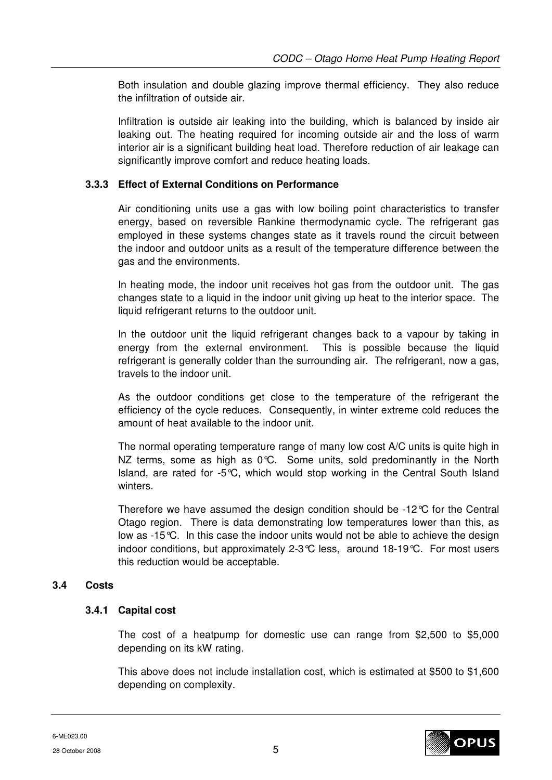Both insulation and double glazing improve thermal efficiency. They also reduce the infiltration of outside air.

Infiltration is outside air leaking into the building, which is balanced by inside air leaking out. The heating required for incoming outside air and the loss of warm interior air is a significant building heat load. Therefore reduction of air leakage can significantly improve comfort and reduce heating loads.

#### **3.3.3 Effect of External Conditions on Performance**

Air conditioning units use a gas with low boiling point characteristics to transfer energy, based on reversible Rankine thermodynamic cycle. The refrigerant gas employed in these systems changes state as it travels round the circuit between the indoor and outdoor units as a result of the temperature difference between the gas and the environments.

In heating mode, the indoor unit receives hot gas from the outdoor unit. The gas changes state to a liquid in the indoor unit giving up heat to the interior space. The liquid refrigerant returns to the outdoor unit.

In the outdoor unit the liquid refrigerant changes back to a vapour by taking in energy from the external environment. This is possible because the liquid refrigerant is generally colder than the surrounding air. The refrigerant, now a gas, travels to the indoor unit.

As the outdoor conditions get close to the temperature of the refrigerant the efficiency of the cycle reduces. Consequently, in winter extreme cold reduces the amount of heat available to the indoor unit.

The normal operating temperature range of many low cost A/C units is quite high in NZ terms, some as high as 0°C. Some units, sold predominantly in the North Island, are rated for -5°C, which would stop working in the Central South Island winters.

Therefore we have assumed the design condition should be -12°C for the Central Otago region. There is data demonstrating low temperatures lower than this, as low as -15°C. In this case the indoor units would not be able to achieve the design indoor conditions, but approximately 2-3°C less, around 18-19°C. For most users this reduction would be acceptable.

#### **3.4 Costs**

#### **3.4.1 Capital cost**

The cost of a heatpump for domestic use can range from \$2,500 to \$5,000 depending on its kW rating.

This above does not include installation cost, which is estimated at \$500 to \$1,600 depending on complexity.

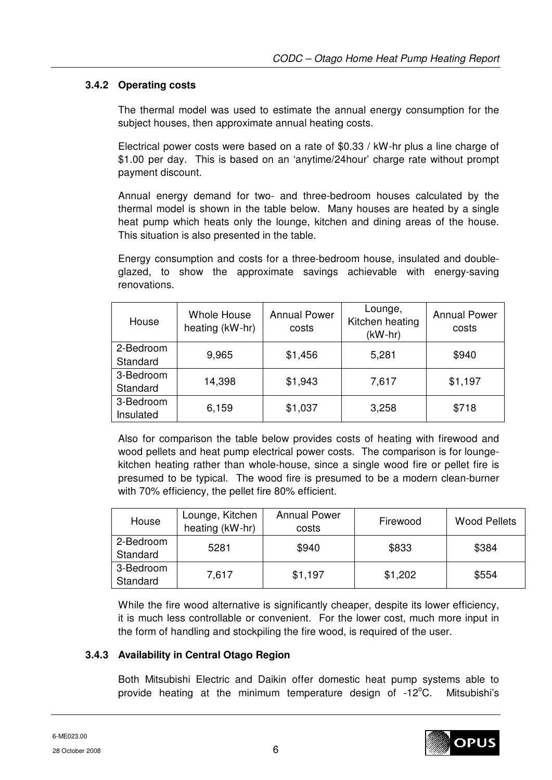## **3.4.2 Operating costs**

The thermal model was used to estimate the annual energy consumption for the subject houses, then approximate annual heating costs.

Electrical power costs were based on a rate of \$0.33 / kW-hr plus a line charge of \$1.00 per day. This is based on an 'anytime/24hour' charge rate without prompt payment discount.

Annual energy demand for two- and three-bedroom houses calculated by the thermal model is shown in the table below. Many houses are heated by a single heat pump which heats only the lounge, kitchen and dining areas of the house. This situation is also presented in the table.

Energy consumption and costs for a three-bedroom house, insulated and doubleglazed, to show the approximate savings achievable with energy-saving renovations.

| House     | Whole House<br>heating (kW-hr) | <b>Annual Power</b><br>costs | Lounge,<br>Kitchen heating<br>$(kW-hr)$ | <b>Annual Power</b><br>costs |
|-----------|--------------------------------|------------------------------|-----------------------------------------|------------------------------|
| 2-Bedroom | 9,965                          | \$1,456                      | 5,281                                   | \$940                        |
| Standard  |                                |                              |                                         |                              |
| 3-Bedroom | 14,398                         | \$1,943                      | 7,617                                   | \$1,197                      |
| Standard  |                                |                              |                                         |                              |
| 3-Bedroom | 6,159                          |                              | 3,258                                   | \$718                        |
| Insulated |                                | \$1,037                      |                                         |                              |

Also for comparison the table below provides costs of heating with firewood and wood pellets and heat pump electrical power costs. The comparison is for loungekitchen heating rather than whole-house, since a single wood fire or pellet fire is presumed to be typical. The wood fire is presumed to be a modern clean-burner with 70% efficiency, the pellet fire 80% efficient.

| House                                  | Lounge, Kitchen<br>heating (kW-hr) | <b>Annual Power</b><br>Firewood<br>costs |         | <b>Wood Pellets</b> |
|----------------------------------------|------------------------------------|------------------------------------------|---------|---------------------|
| 2-Bedroom<br>\$940<br>5281<br>Standard |                                    | \$833                                    | \$384   |                     |
| 3-Bedroom<br>Standard                  | 7.617                              | \$1,197                                  | \$1,202 | \$554               |

While the fire wood alternative is significantly cheaper, despite its lower efficiency, it is much less controllable or convenient. For the lower cost, much more input in the form of handling and stockpiling the fire wood, is required of the user.

#### **3.4.3 Availability in Central Otago Region**

Both Mitsubishi Electric and Daikin offer domestic heat pump systems able to provide heating at the minimum temperature design of  $-12^{\circ}$ C. Mitsubishi's

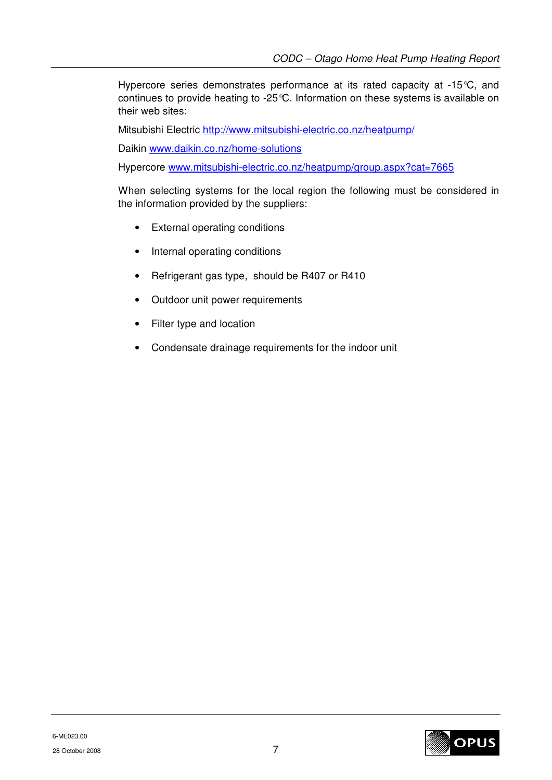Hypercore series demonstrates performance at its rated capacity at -15°C, and continues to provide heating to -25°C. Information on these systems is available on their web sites:

Mitsubishi Electric http://www.mitsubishi-electric.co.nz/heatpump/

Daikin www.daikin.co.nz/home-solutions

Hypercore www.mitsubishi-electric.co.nz/heatpump/group.aspx?cat=7665

When selecting systems for the local region the following must be considered in the information provided by the suppliers:

- External operating conditions
- Internal operating conditions
- Refrigerant gas type, should be R407 or R410
- Outdoor unit power requirements
- Filter type and location
- Condensate drainage requirements for the indoor unit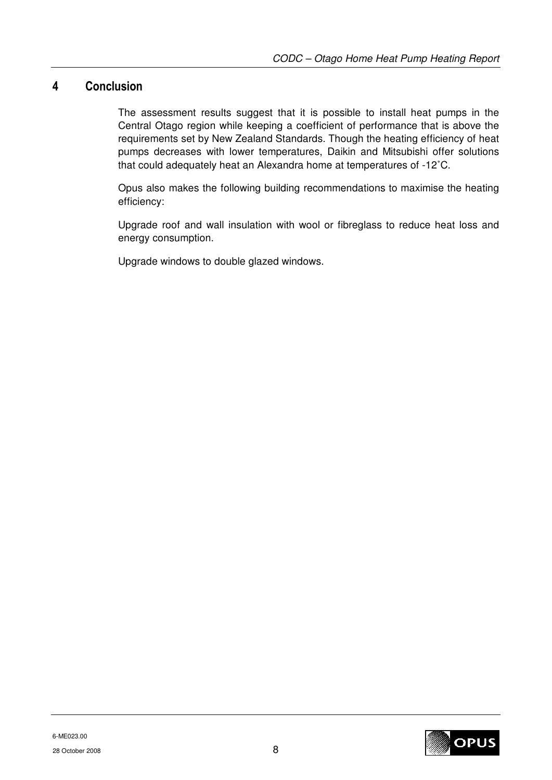# **4 Conclusion**

The assessment results suggest that it is possible to install heat pumps in the Central Otago region while keeping a coefficient of performance that is above the requirements set by New Zealand Standards. Though the heating efficiency of heat pumps decreases with lower temperatures, Daikin and Mitsubishi offer solutions that could adequately heat an Alexandra home at temperatures of -12˚C.

Opus also makes the following building recommendations to maximise the heating efficiency:

Upgrade roof and wall insulation with wool or fibreglass to reduce heat loss and energy consumption.

Upgrade windows to double glazed windows.

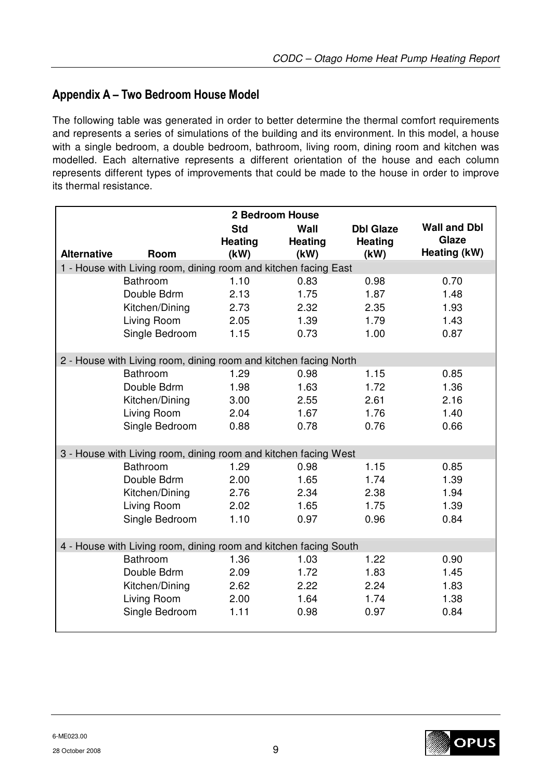# **Appendix A – Two Bedroom House Model**

The following table was generated in order to better determine the thermal comfort requirements and represents a series of simulations of the building and its environment. In this model, a house with a single bedroom, a double bedroom, bathroom, living room, dining room and kitchen was modelled. Each alternative represents a different orientation of the house and each column represents different types of improvements that could be made to the house in order to improve its thermal resistance.

| 2 Bedroom House                                                  |                                                                  |                                      |                         |                                     |                                              |
|------------------------------------------------------------------|------------------------------------------------------------------|--------------------------------------|-------------------------|-------------------------------------|----------------------------------------------|
| <b>Alternative</b>                                               | Room                                                             | <b>Std</b><br><b>Heating</b><br>(kW) | Wall<br>Heating<br>(kW) | <b>Dbl Glaze</b><br>Heating<br>(kW) | <b>Wall and Dbl</b><br>Glaze<br>Heating (kW) |
|                                                                  | 1 - House with Living room, dining room and kitchen facing East  |                                      |                         |                                     |                                              |
|                                                                  | Bathroom                                                         | 1.10                                 | 0.83                    | 0.98                                | 0.70                                         |
|                                                                  | Double Bdrm                                                      | 2.13                                 | 1.75                    | 1.87                                | 1.48                                         |
|                                                                  | Kitchen/Dining                                                   | 2.73                                 | 2.32                    | 2.35                                | 1.93                                         |
|                                                                  | Living Room                                                      | 2.05                                 | 1.39                    | 1.79                                | 1.43                                         |
|                                                                  | Single Bedroom                                                   | 1.15                                 | 0.73                    | 1.00                                | 0.87                                         |
|                                                                  |                                                                  |                                      |                         |                                     |                                              |
|                                                                  | 2 - House with Living room, dining room and kitchen facing North |                                      |                         |                                     |                                              |
|                                                                  | <b>Bathroom</b>                                                  | 1.29                                 | 0.98                    | 1.15                                | 0.85                                         |
|                                                                  | Double Bdrm                                                      | 1.98                                 | 1.63                    | 1.72                                | 1.36                                         |
|                                                                  | Kitchen/Dining                                                   | 3.00                                 | 2.55                    | 2.61                                | 2.16                                         |
|                                                                  | Living Room                                                      | 2.04                                 | 1.67                    | 1.76                                | 1.40                                         |
|                                                                  | Single Bedroom                                                   | 0.88                                 | 0.78                    | 0.76                                | 0.66                                         |
|                                                                  |                                                                  |                                      |                         |                                     |                                              |
|                                                                  | 3 - House with Living room, dining room and kitchen facing West  |                                      |                         |                                     |                                              |
|                                                                  | <b>Bathroom</b>                                                  | 1.29                                 | 0.98                    | 1.15                                | 0.85                                         |
|                                                                  | Double Bdrm                                                      | 2.00                                 | 1.65                    | 1.74                                | 1.39                                         |
|                                                                  | Kitchen/Dining                                                   | 2.76                                 | 2.34                    | 2.38                                | 1.94                                         |
|                                                                  | Living Room                                                      | 2.02                                 | 1.65                    | 1.75                                | 1.39                                         |
|                                                                  | Single Bedroom                                                   | 1.10                                 | 0.97                    | 0.96                                | 0.84                                         |
|                                                                  |                                                                  |                                      |                         |                                     |                                              |
| 4 - House with Living room, dining room and kitchen facing South |                                                                  |                                      |                         |                                     |                                              |
|                                                                  | <b>Bathroom</b>                                                  | 1.36                                 | 1.03                    | 1.22                                | 0.90                                         |
|                                                                  | Double Bdrm                                                      | 2.09                                 | 1.72                    | 1.83                                | 1.45                                         |
|                                                                  | Kitchen/Dining                                                   | 2.62                                 | 2.22                    | 2.24                                | 1.83                                         |
|                                                                  | Living Room                                                      | 2.00                                 | 1.64                    | 1.74                                | 1.38                                         |
|                                                                  | Single Bedroom                                                   | 1.11                                 | 0.98                    | 0.97                                | 0.84                                         |
|                                                                  |                                                                  |                                      |                         |                                     |                                              |